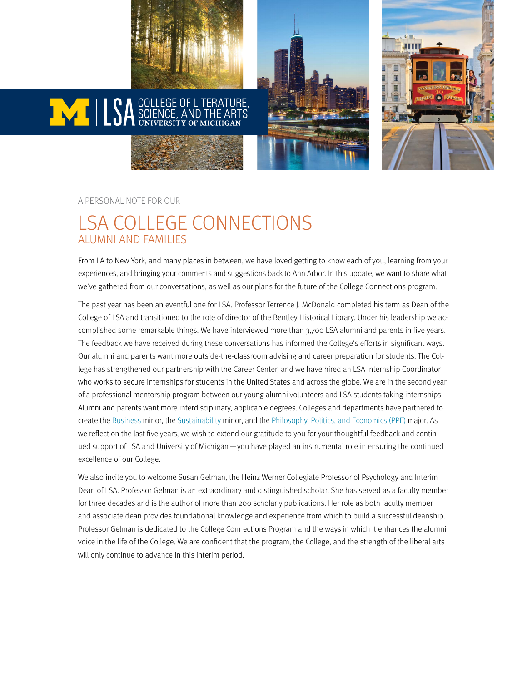



#### A PERSONAL NOTE FOR OUR

#### LSA COLLEGE CONNECTIONS ALUMNI AND FAMILIES

From LA to New York, and many places in between, we have loved getting to know each of you, learning from your experiences, and bringing your comments and suggestions back to Ann Arbor. In this update, we want to share what we've gathered from our conversations, as well as our plans for the future of the College Connections program.

The past year has been an eventful one for LSA. Professor Terrence J. McDonald completed his term as Dean of the College of LSA and transitioned to the role of director of the Bentley Historical Library. Under his leadership we accomplished some remarkable things. We have interviewed more than 3,700 LSA alumni and parents in five years. The feedback we have received during these conversations has informed the College's efforts in significant ways. Our alumni and parents want more outside-the-classroom advising and career preparation for students. The College has strengthened our partnership with the Career Center, and we have hired an LSA Internship Coordinator who works to secure internships for students in the United States and across the globe. We are in the second year of a professional mentorship program between our young alumni volunteers and LSA students taking internships. Alumni and parents want more interdisciplinary, applicable degrees. Colleges and departments have partnered to create the [Business](http://www.lsa.umich.edu/students/academicsrequirements/majorsminors/businessrossschoolof/minorbusiness) minor, the [Sustainability m](http://www.lsa.umich.edu/pite/academics/minors/sustainabilityminor)inor, and the [Philosophy, Politics, and Economics \(PPE\)](http://www.lsa.umich.edu/ppe) major. As we reflect on the last five years, we wish to extend our gratitude to you for your thoughtful feedback and continued support of LSA and University of Michigan—you have played an instrumental role in ensuring the continued excellence of our College.

We also invite you to welcome Susan Gelman, the Heinz Werner Collegiate Professor of Psychology and Interim Dean of LSA. Professor Gelman is an extraordinary and distinguished scholar. She has served as a faculty member for three decades and is the author of more than 200 scholarly publications. Her role as both faculty member and associate dean provides foundational knowledge and experience from which to build a successful deanship. Professor Gelman is dedicated to the College Connections Program and the ways in which it enhances the alumni voice in the life of the College. We are confident that the program, the College, and the strength of the liberal arts will only continue to advance in this interim period.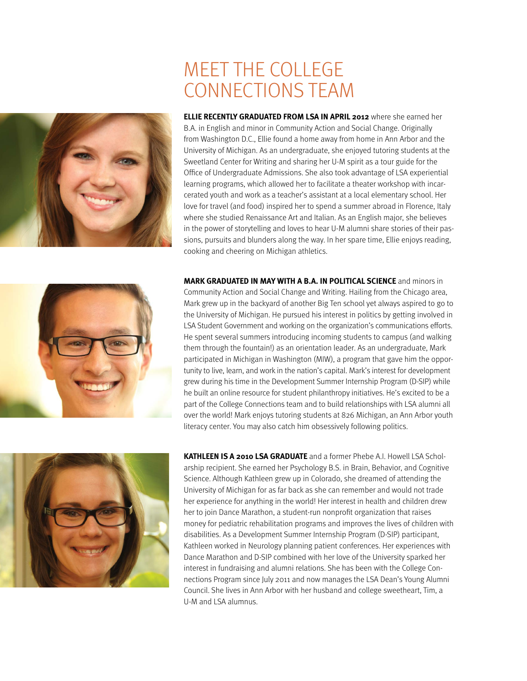### MEET THE COLLEGE CONNECTIONS TEAM

**ELLIE RECENTLY GRADUATED FROM LSA IN APRIL 2012** where she earned her B.A. in English and minor in Community Action and Social Change. Originally from Washington D.C., Ellie found a home away from home in Ann Arbor and the University of Michigan. As an undergraduate, she enjoyed tutoring students at the Sweetland Center for Writing and sharing her U-M spirit as a tour guide for the Office of Undergraduate Admissions. She also took advantage of LSA experiential learning programs, which allowed her to facilitate a theater workshop with incarcerated youth and work as a teacher's assistant at a local elementary school. Her love for travel (and food) inspired her to spend a summer abroad in Florence, Italy where she studied Renaissance Art and Italian. As an English major, she believes in the power of storytelling and loves to hear U-M alumni share stories of their passions, pursuits and blunders along the way. In her spare time, Ellie enjoys reading, cooking and cheering on Michigan athletics.

**MARK GRADUATED IN MAY WITH A B.A. IN POLITICAL SCIENCE** and minors in Community Action and Social Change and Writing. Hailing from the Chicago area, Mark grew up in the backyard of another Big Ten school yet always aspired to go to the University of Michigan. He pursued his interest in politics by getting involved in LSA Student Government and working on the organization's communications efforts. He spent several summers introducing incoming students to campus (and walking them through the fountain!) as an orientation leader. As an undergraduate, Mark participated in Michigan in Washington (MIW), a program that gave him the opportunity to live, learn, and work in the nation's capital. Mark's interest for development grew during his time in the Development Summer Internship Program (D-SIP) while he built an online resource for student philanthropy initiatives. He's excited to be a part of the College Connections team and to build relationships with LSA alumni all over the world! Mark enjoys tutoring students at 826 Michigan, an Ann Arbor youth literacy center. You may also catch him obsessively following politics.

**KATHLEEN IS A 2010 LSA GRADUATE** and a former Phebe A.I. Howell LSA Scholarship recipient. She earned her Psychology B.S. in Brain, Behavior, and Cognitive Science. Although Kathleen grew up in Colorado, she dreamed of attending the University of Michigan for as far back as she can remember and would not trade her experience for anything in the world! Her interest in health and children drew her to join Dance Marathon, a student-run nonprofit organization that raises money for pediatric rehabilitation programs and improves the lives of children with disabilities. As a Development Summer Internship Program (D-SIP) participant, Kathleen worked in Neurology planning patient conferences. Her experiences with Dance Marathon and D-SIP combined with her love of the University sparked her interest in fundraising and alumni relations. She has been with the College Connections Program since July 2011 and now manages the LSA Dean's Young Alumni Council. She lives in Ann Arbor with her husband and college sweetheart, Tim, a U-M and LSA alumnus.





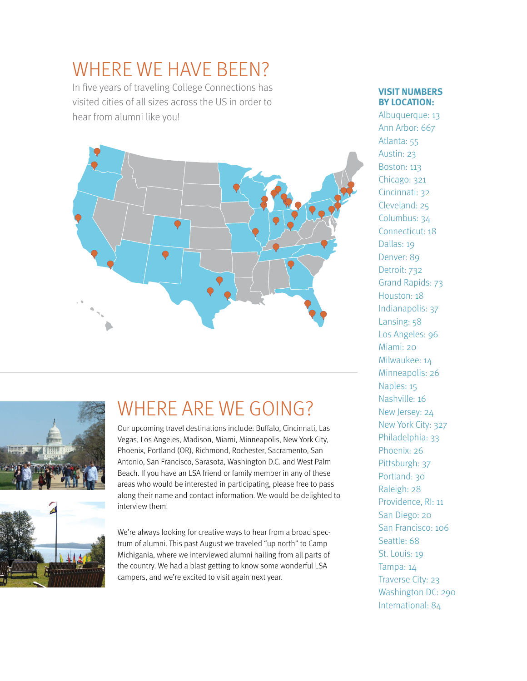# WHERE WE HAVE BEEN?

In five years of traveling College Connections has visited cities of all sizes across the US in order to hear from alumni like you!







# WHERE ARE WE GOING?

Our upcoming travel destinations include: Buffalo, Cincinnati, Las Vegas, Los Angeles, Madison, Miami, Minneapolis, New York City, Phoenix, Portland (OR), Richmond, Rochester, Sacramento, San Antonio, San Francisco, Sarasota, Washington D.C. and West Palm Beach. If you have an LSA friend or family member in any of these areas who would be interested in participating, please free to pass along their name and contact information. We would be delighted to interview them!

We're always looking for creative ways to hear from a broad spectrum of alumni. This past August we traveled "up north" to Camp Michigania, where we interviewed alumni hailing from all parts of the country. We had a blast getting to know some wonderful LSA campers, and we're excited to visit again next year.

#### **VISIT NUMBERS BY LOCATION:**

Albuquerque: 13 Ann Arbor: 667 Atlanta: 55 Austin: 23 Boston: 113 Chicago: 321 Cincinnati: 32 Cleveland: 25 Columbus: 34 Connecticut: 18 Dallas: 19 Denver: 89 Detroit: 732 Grand Rapids: 73 Houston: 18 Indianapolis: 37 Lansing: 58 Los Angeles: 96 Miami: 20 Milwaukee: 14 Minneapolis: 26 Naples: 15 Nashville: 16 New Jersey: 24 New York City: 327 Philadelphia: 33 Phoenix: 26 Pittsburgh: 37 Portland: 30 Raleigh: 28 Providence, RI: 11 San Diego: 20 San Francisco: 106 Seattle: 68 St. Louis: 19 Tampa: 14 Traverse City: 23 Washington DC: 290 International: 84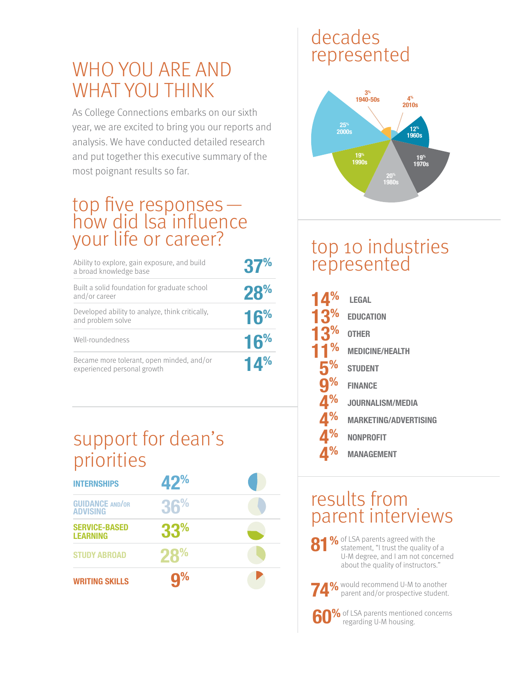### WHO YOU ARE AND WHAT YOU THINK

As College Connections embarks on our sixth year, we are excited to bring you our reports and analysis. We have conducted detailed research and put together this executive summary of the most poignant results so far.

# top five responses—<br>how did lsa influence your life or career?

| Ability to explore, gain exposure, and build<br>a broad knowledge base   | 37%             |
|--------------------------------------------------------------------------|-----------------|
| Built a solid foundation for graduate school<br>and/or career            | 28%             |
| Developed ability to analyze, think critically,<br>and problem solve     | 16%             |
| Well-roundedness                                                         | 16 <sup>%</sup> |
| Became more tolerant, open minded, and/or<br>experienced personal growth | 14%             |

## support for dean's priorities

| <b>INTERNSHIPS</b>                        | 42%             |  |
|-------------------------------------------|-----------------|--|
| <b>GUIDANCE AND/OR</b><br><b>ADVISING</b> | 36%             |  |
| <b>SERVICE-BASED</b><br><b>LEARNING</b>   | 33 <sup>%</sup> |  |
| <b>STUDY ABROAD</b>                       | 28%             |  |
| <b>WRITING SKILLS</b>                     | $q\%$           |  |

### decades represented



### top 10 industries represented

|                | LEGAL                        |
|----------------|------------------------------|
| 3 <sup>%</sup> | <b>EDUCATION</b>             |
| 3%             | <b>OTHER</b>                 |
|                | <b>MEDICINE/HEALTH</b>       |
| 5              | <b>STUDENT</b>               |
| <u>g</u>       | <b>FINANCE</b>               |
|                | JOURNALISM/MEDIA             |
|                | <b>MARKETING/ADVERTISING</b> |
|                | <b>NONPROFIT</b>             |
|                | <b>MANAGEMENT</b>            |

#### results from parent interviews

81% of LSA parents agreed with the statement, "I trust the quality of a U-M degree, and I am not concerned about the quality of instructors."

**74%** would recommend U-M to another parent and/or prospective student.

**60%** of LSA parents mentioned concerns regarding U-M housing.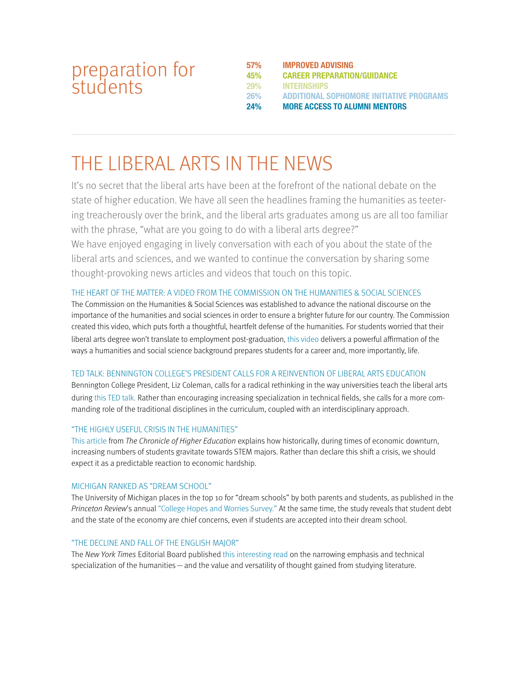#### preparation for students

**57% IMPROVED ADVISING 45% CAREER PREPARATION/GUIDANCE 29% INTERNSHIPS 26% ADDITIONAL SOPHOMORE INITIATIVE PROGRAMS 24% MORE ACCESS TO ALUMNI MENTORS**

### THE LIBERAL ARTS IN THE NEWS

It's no secret that the liberal arts have been at the forefront of the national debate on the state of higher education. We have all seen the headlines framing the humanities as teetering treacherously over the brink, and the liberal arts graduates among us are all too familiar with the phrase, "what are you going to do with a liberal arts degree?"

We have enjoyed engaging in lively conversation with each of you about the state of the liberal arts and sciences, and we wanted to continue the conversation by sharing some thought-provoking news articles and videos that touch on this topic.

#### [THE HEART OF THE MATTER: A VIDEO FROM THE COMMISSION ON THE HUMANITIES & SOCIAL SCIENCES](http://vimeo.com/68662447)

The Commission on the Humanities & Social Sciences was established to advance the national discourse on the importance of the humanities and social sciences in order to ensure a brighter future for our country. The Commission created this video, which puts forth a thoughtful, heartfelt defense of the humanities. For students worried that their liberal arts degree won't translate to employment post-graduation, [this video](http://vimeo.com/68662447) delivers a powerful affirmation of the ways a humanities and social science background prepares students for a career and, more importantly, life.

#### [TED TALK: BENNINGTON COLLEGE'S PRESIDENT CALLS FOR A REINVENTION OF LIBERAL ARTS EDUCATION](http://www.ted.com/talks/liz_coleman_s_call_to_reinvent_liberal_arts_education.html)

Bennington College President, Liz Coleman, calls for a radical rethinking in the way universities teach the liberal arts during [this TED talk.](http://www.ted.com/talks/liz_coleman_s_call_to_reinvent_liberal_arts_education.html) Rather than encouraging increasing specialization in technical fields, she calls for a more commanding role of the traditional disciplines in the curriculum, coupled with an interdisciplinary approach.

#### ["THE HIGHLY USEFUL CRISIS IN THE HUMANITIES"](http://chronicle.com/article/The-Highly-Useful-Crisis-in/141227/?cid=at&utm_source=at&utm_medium=en)

[This article](http://chronicle.com/article/The-Highly-Useful-Crisis-in/141227/%3Fcid%3Dat%26utm_source%3Dat%26utm_medium%3Den) from The Chronicle of Higher Education explains how historically, during times of economic downturn, increasing numbers of students gravitate towards STEM majors. Rather than declare this shift a crisis, we should expect it as a predictable reaction to economic hardship.

#### [MICHIGAN RANKED AS "DREAM SCHOOL"](http://www.princetonreview.com/college-hopes-worries.aspx)

The University of Michigan places in the top 10 for "dream schools" by both parents and students, as published in the Princeton Review's annual ["College Hopes and Worries Survey."](http://www.princetonreview.com/college-hopes-worries.aspx) At the same time, the study reveals that student debt and the state of the economy are chief concerns, even if students are accepted into their dream school.

#### ["THE DECLINE AND FALL OF THE ENGLISH MAJOR"](http://www.nytimes.com/2013/06/23/opinion/sunday/the-decline-and-fall-of-the-english-major.html)

The New York Times Editorial Board published [this interesting read](http://www.nytimes.com/2013/06/23/opinion/sunday/the-decline-and-fall-of-the-english-major.html) on the narrowing emphasis and technical specialization of the humanities — and the value and versatility of thought gained from studying literature.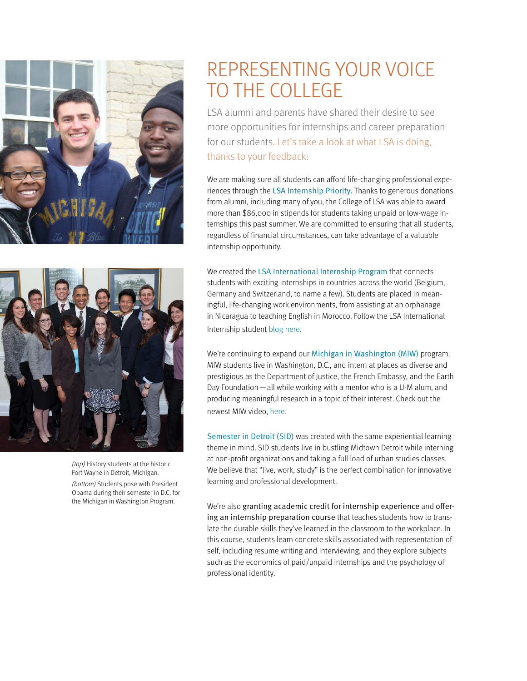



(top) History students at the historic Fort Wayne in Detroit, Michigan.

(bottom) Students pose with President Obama during their semester in D.C. for the Michigan in Washington Program.

## REPRESENTING YOUR VOICE TO THE COLLEGE

LSA alumni and parents have shared their desire to see more opportunities for internships and career preparation for our students. Let's take a look at what LSA is doing, thanks to your feedback:

We are making sure all students can afford life-changing professional experiences through the [LSA Internship Priority.](https://www.lsa.umich.edu/alumni/youngalumnicouncil/internshippriority) Thanks to generous donations from alumni, including many of you, the College of LSA was able to award more than \$86,000 in stipends for students taking unpaid or low-wage internships this past summer. We are committed to ensuring that all students, regardless of financial circumstances, can take advantage of a valuable internship opportunity.

We created the [LSA International Internship Program](http://www.lsa.umich.edu/students/internabroad) that connects students with exciting internships in countries across the world (Belgium, Germany and Switzerland, to name a few). Students are placed in meaningful, life-changing work environments, from assisting at an orphanage in Nicaragua to teaching English in Morocco. Follow the LSA International Internship student [blog here](http://lsasummerinterns2013.blogspot.com/).

We're continuing to expand our [Michigan in Washington \(MIW\)](http://www.lsa.umich.edu/michinwash) program. MIW students live in Washington, D.C., and intern at places as diverse and prestigious as the Department of Justice, the French Embassy, and the Earth Day Foundation—all while working with a mentor who is a U-M alum, and producing meaningful research in a topic of their interest. Check out the newest MIW video, [here.](http://www.lsa.umich.edu/lsa/ci.michigangoestowashington_ci.detail)

[Semester in Detroit \(SID\)](http://www.lsa.umich.edu/sid) was created with the same experiential learning theme in mind. SID students live in bustling Midtown Detroit while interning at non-profit organizations and taking a full load of urban studies classes. We believe that "live, work, study" is the perfect combination for innovative learning and professional development.

We're also granting academic credit for internship experience and offering an internship preparation course that teaches students how to translate the durable skills they've learned in the classroom to the workplace. In this course, students learn concrete skills associated with representation of self, including resume writing and interviewing, and they explore subjects such as the economics of paid/unpaid internships and the psychology of professional identity.